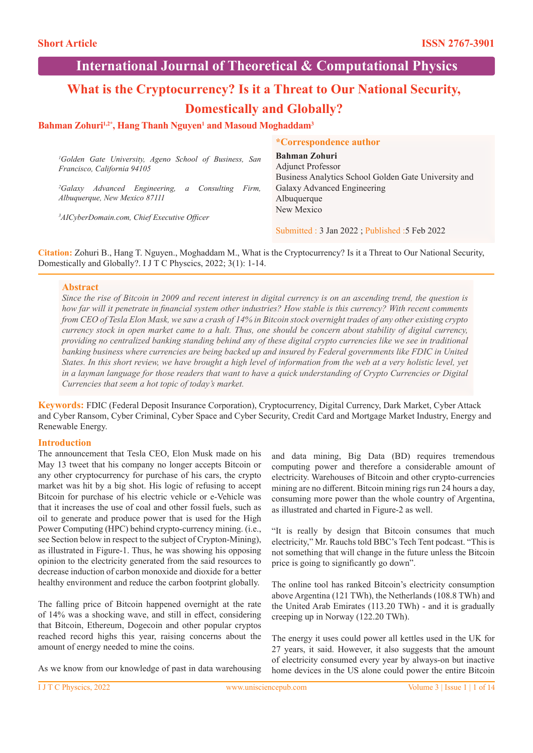# **International Journal of Theoretical & Computational Physics**

# **What is the Cryptocurrency? Is it a Threat to Our National Security, Domestically and Globally?**

## Bahman Zohuri<sup>1,2\*</sup>, Hang Thanh Nguyen<sup>1</sup> and Masoud Moghaddam<sup>3</sup>

|                                                                                                   | <i>*Correspondence author</i>                                                                            |
|---------------------------------------------------------------------------------------------------|----------------------------------------------------------------------------------------------------------|
| <sup>1</sup> Golden Gate University, Ageno School of Business, San<br>Francisco, California 94105 | <b>Bahman Zohuri</b><br><b>Adjunct Professor</b><br>Business Analytics School Golden Gate University and |
| <sup>2</sup> Galaxy Advanced Engineering, a Consulting<br>Firm,<br>Albuquerque, New Mexico 87111  | Galaxy Advanced Engineering<br>Albuquerque                                                               |
| <sup>3</sup> AICyberDomain.com, Chief Executive Officer                                           | New Mexico                                                                                               |
|                                                                                                   | Submitted: 3 Jan 2022; Published: 5 Feb 2022                                                             |

**Citation:** Zohuri B., Hang T. Nguyen., Moghaddam M., What is the Cryptocurrency? Is it a Threat to Our National Security, Domestically and Globally?. I J T C Physcics, 2022; 3(1): 1-14.

### **Abstract**

*Since the rise of Bitcoin in 2009 and recent interest in digital currency is on an ascending trend, the question is how far will it penetrate in financial system other industries? How stable is this currency? With recent comments from CEO of Tesla Elon Mask, we saw a crash of 14% in Bitcoin stock overnight trades of any other existing crypto currency stock in open market came to a halt. Thus, one should be concern about stability of digital currency, providing no centralized banking standing behind any of these digital crypto currencies like we see in traditional banking business where currencies are being backed up and insured by Federal governments like FDIC in United States. In this short review, we have brought a high level of information from the web at a very holistic level, yet in a layman language for those readers that want to have a quick understanding of Crypto Currencies or Digital Currencies that seem a hot topic of today's market.*

**Keywords:** FDIC (Federal Deposit Insurance Corporation), Cryptocurrency, Digital Currency, Dark Market, Cyber Attack and Cyber Ransom, Cyber Criminal, Cyber Space and Cyber Security, Credit Card and Mortgage Market Industry, Energy and Renewable Energy.

## **Introduction**

The announcement that Tesla CEO, Elon Musk made on his May 13 tweet that his company no longer accepts Bitcoin or any other cryptocurrency for purchase of his cars, the crypto market was hit by a big shot. His logic of refusing to accept Bitcoin for purchase of his electric vehicle or e-Vehicle was that it increases the use of coal and other fossil fuels, such as oil to generate and produce power that is used for the High Power Computing (HPC) behind crypto-currency mining. (i.e., see Section below in respect to the subject of Crypton-Mining), as illustrated in Figure-1. Thus, he was showing his opposing opinion to the electricity generated from the said resources to decrease induction of carbon monoxide and dioxide for a better healthy environment and reduce the carbon footprint globally.

The falling price of Bitcoin happened overnight at the rate of 14% was a shocking wave, and still in effect, considering that Bitcoin, Ethereum, Dogecoin and other popular cryptos reached record highs this year, raising concerns about the amount of energy needed to mine the coins.

As we know from our knowledge of past in data warehousing

and data mining, Big Data (BD) requires tremendous computing power and therefore a considerable amount of electricity. Warehouses of Bitcoin and other crypto-currencies mining are no different. Bitcoin mining rigs run 24 hours a day, consuming more power than the whole country of Argentina, as illustrated and charted in Figure-2 as well.

"It is really by design that Bitcoin consumes that much electricity," Mr. Rauchs told BBC's Tech Tent podcast. "This is not something that will change in the future unless the Bitcoin price is going to significantly go down".

The online tool has ranked Bitcoin's electricity consumption above Argentina (121 TWh), the Netherlands (108.8 TWh) and the United Arab Emirates (113.20 TWh) - and it is gradually creeping up in Norway (122.20 TWh).

The energy it uses could power all kettles used in the UK for 27 years, it said. However, it also suggests that the amount of electricity consumed every year by always-on but inactive home devices in the US alone could power the entire Bitcoin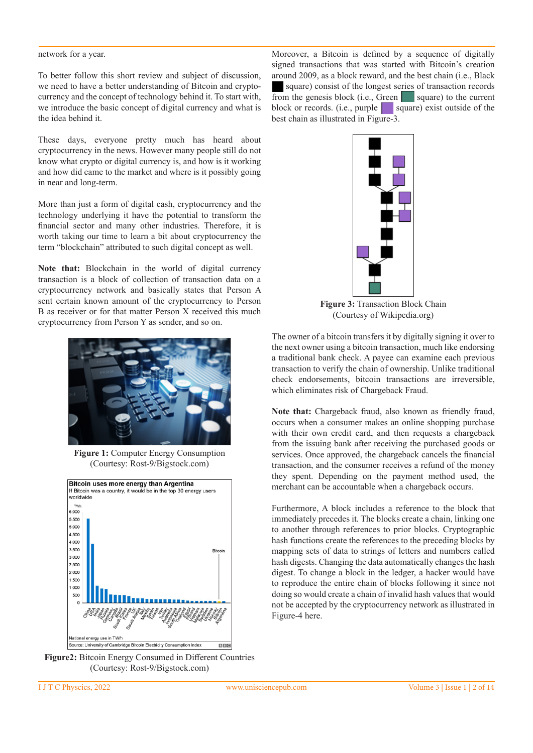#### network for a year.

To better follow this short review and subject of discussion, we need to have a better understanding of Bitcoin and cryptocurrency and the concept of technology behind it. To start with, we introduce the basic concept of digital currency and what is the idea behind it.

These days, everyone pretty much has heard about cryptocurrency in the news. However many people still do not know what crypto or digital currency is, and how is it working and how did came to the market and where is it possibly going in near and long-term.

More than just a form of digital cash, cryptocurrency and the technology underlying it have the potential to transform the financial sector and many other industries. Therefore, it is worth taking our time to learn a bit about cryptocurrency the term "blockchain" attributed to such digital concept as well.

**Note that:** Blockchain in the world of digital currency transaction is a block of collection of transaction data on a cryptocurrency network and basically states that Person A sent certain known amount of the cryptocurrency to Person B as receiver or for that matter Person X received this much cryptocurrency from Person Y as sender, and so on.



**Figure 1:** Computer Energy Consumption (Courtesy: Rost-9/Bigstock.com)



**Figure2:** Bitcoin Energy Consumed in Different Countries (Courtesy: Rost-9/Bigstock.com)

Moreover, a Bitcoin is defined by a sequence of digitally signed transactions that was started with Bitcoin's creation around 2009, as a block reward, and the best chain (i.e., Black square) consist of the longest series of transaction records from the genesis block (i.e., Green square) to the current block or records. (i.e., purple square) exist outside of the best chain as illustrated in Figure-3.



**Figure 3:** Transaction Block Chain (Courtesy of Wikipedia.org)

The owner of a bitcoin transfers it by digitally signing it over to the next owner using a bitcoin transaction, much like endorsing a traditional bank check. A payee can examine each previous transaction to verify the chain of ownership. Unlike traditional check endorsements, bitcoin transactions are irreversible, which eliminates risk of Chargeback Fraud.

**Note that:** Chargeback fraud, also known as friendly fraud, occurs when a consumer makes an online shopping purchase with their own credit card, and then requests a chargeback from the issuing bank after receiving the purchased goods or services. Once approved, the chargeback cancels the financial transaction, and the consumer receives a refund of the money they spent. Depending on the payment method used, the merchant can be accountable when a chargeback occurs.

Furthermore, A block includes a reference to the block that immediately precedes it. The blocks create a chain, linking one to another through references to prior blocks. Cryptographic hash functions create the references to the preceding blocks by mapping sets of data to strings of letters and numbers called hash digests. Changing the data automatically changes the hash digest. To change a block in the ledger, a hacker would have to reproduce the entire chain of blocks following it since not doing so would create a chain of invalid hash values that would not be accepted by the cryptocurrency network as illustrated in Figure-4 here.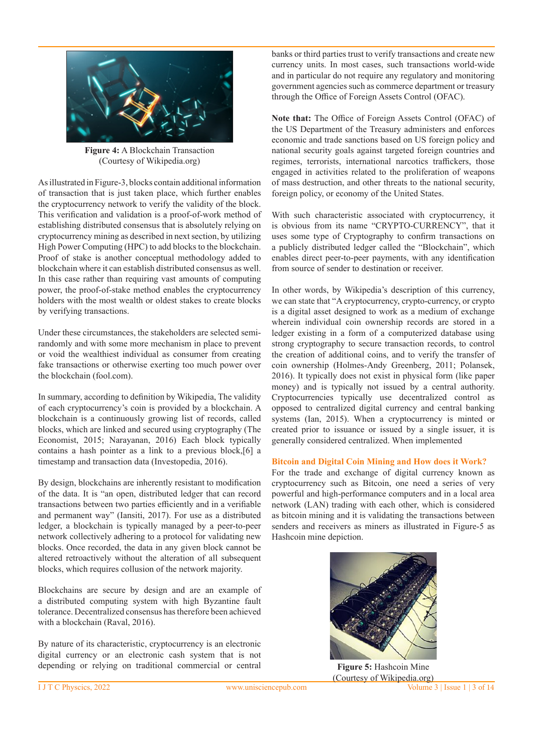

**Figure 4:** A Blockchain Transaction (Courtesy of Wikipedia.org)

As illustrated in Figure-3, blocks contain additional information of transaction that is just taken place, which further enables the cryptocurrency network to verify the validity of the block. This verification and validation is a proof-of-work method of establishing distributed consensus that is absolutely relying on cryptocurrency mining as described in next section, by utilizing High Power Computing (HPC) to add blocks to the blockchain. Proof of stake is another conceptual methodology added to blockchain where it can establish distributed consensus as well. In this case rather than requiring vast amounts of computing power, the proof-of-stake method enables the cryptocurrency holders with the most wealth or oldest stakes to create blocks by verifying transactions.

Under these circumstances, the stakeholders are selected semirandomly and with some more mechanism in place to prevent or void the wealthiest individual as consumer from creating fake transactions or otherwise exerting too much power over the blockchain (fool.com).

In summary, according to definition by Wikipedia, The validity of each cryptocurrency's coin is provided by a blockchain. A blockchain is a continuously growing list of records, called blocks, which are linked and secured using cryptography (The Economist, 2015; Narayanan, 2016) Each block typically contains a hash pointer as a link to a previous block,[6] a timestamp and transaction data (Investopedia, 2016).

By design, blockchains are inherently resistant to modification of the data. It is "an open, distributed ledger that can record transactions between two parties efficiently and in a verifiable and permanent way" (Iansiti, 2017). For use as a distributed ledger, a blockchain is typically managed by a peer-to-peer network collectively adhering to a protocol for validating new blocks. Once recorded, the data in any given block cannot be altered retroactively without the alteration of all subsequent blocks, which requires collusion of the network majority.

Blockchains are secure by design and are an example of a distributed computing system with high Byzantine fault tolerance. Decentralized consensus has therefore been achieved with a blockchain (Raval, 2016).

By nature of its characteristic, cryptocurrency is an electronic digital currency or an electronic cash system that is not depending or relying on traditional commercial or central

banks or third parties trust to verify transactions and create new currency units. In most cases, such transactions world-wide and in particular do not require any regulatory and monitoring government agencies such as commerce department or treasury through the Office of Foreign Assets Control (OFAC).

**Note that:** The Office of Foreign Assets Control (OFAC) of the US Department of the Treasury administers and enforces economic and trade sanctions based on US foreign policy and national security goals against targeted foreign countries and regimes, terrorists, international narcotics traffickers, those engaged in activities related to the proliferation of weapons of mass destruction, and other threats to the national security, foreign policy, or economy of the United States.

With such characteristic associated with cryptocurrency, it is obvious from its name "CRYPTO-CURRENCY", that it uses some type of Cryptography to confirm transactions on a publicly distributed ledger called the "Blockchain", which enables direct peer-to-peer payments, with any identification from source of sender to destination or receiver.

In other words, by Wikipedia's description of this currency, we can state that "A cryptocurrency, crypto-currency, or crypto is a digital asset designed to work as a medium of exchange wherein individual coin ownership records are stored in a ledger existing in a form of a computerized database using strong cryptography to secure transaction records, to control the creation of additional coins, and to verify the transfer of coin ownership (Holmes-Andy Greenberg, 2011; Polansek, 2016). It typically does not exist in physical form (like paper money) and is typically not issued by a central authority. Cryptocurrencies typically use decentralized control as opposed to centralized digital currency and central banking systems (Ian, 2015). When a cryptocurrency is minted or created prior to issuance or issued by a single issuer, it is generally considered centralized. When implemented

#### **Bitcoin and Digital Coin Mining and How does it Work?**

For the trade and exchange of digital currency known as cryptocurrency such as Bitcoin, one need a series of very powerful and high-performance computers and in a local area network (LAN) trading with each other, which is considered as bitcoin mining and it is validating the transactions between senders and receivers as miners as illustrated in Figure-5 as Hashcoin mine depiction.



I J T C Physcics, 2022 www.unisciencepub.com Volume 3 | Issue 1 | 3 of 14 **Figure 5:** Hashcoin Mine (Courtesy of Wikipedia.org)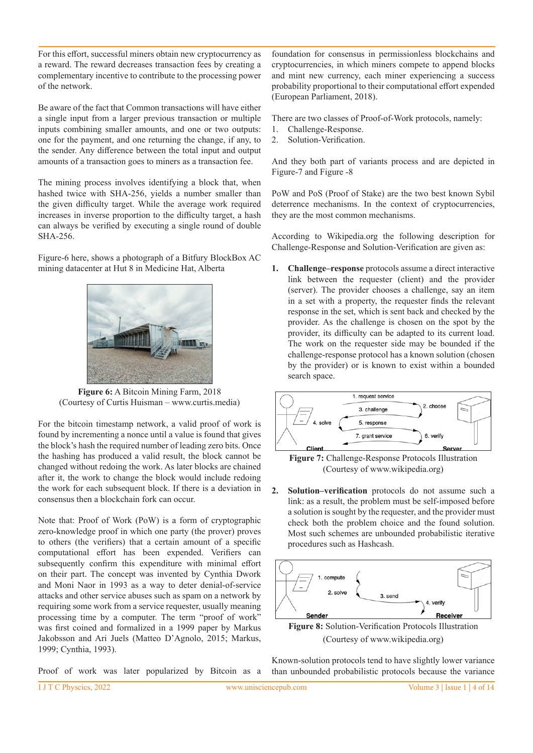For this effort, successful miners obtain new cryptocurrency as a reward. The reward decreases transaction fees by creating a complementary incentive to contribute to the processing power of the network.

Be aware of the fact that Common transactions will have either a single input from a larger previous transaction or multiple inputs combining smaller amounts, and one or two outputs: one for the payment, and one returning the change, if any, to the sender. Any difference between the total input and output amounts of a transaction goes to miners as a transaction fee.

The mining process involves identifying a block that, when hashed twice with SHA-256, yields a number smaller than the given difficulty target. While the average work required increases in inverse proportion to the difficulty target, a hash can always be verified by executing a single round of double SHA-256.

Figure-6 here, shows a photograph of a Bitfury BlockBox AC mining datacenter at Hut 8 in Medicine Hat, Alberta



**Figure 6:** A Bitcoin Mining Farm, 2018 (Courtesy of Curtis Huisman – www.curtis.media)

For the bitcoin timestamp network, a valid proof of work is found by incrementing a nonce until a value is found that gives the block's hash the required number of leading zero bits. Once the hashing has produced a valid result, the block cannot be changed without redoing the work. As later blocks are chained after it, the work to change the block would include redoing the work for each subsequent block. If there is a deviation in consensus then a blockchain fork can occur.

Note that: Proof of Work (PoW) is a form of cryptographic zero-knowledge proof in which one party (the prover) proves to others (the verifiers) that a certain amount of a specific computational effort has been expended. Verifiers can subsequently confirm this expenditure with minimal effort on their part. The concept was invented by Cynthia Dwork and Moni Naor in 1993 as a way to deter denial-of-service attacks and other service abuses such as spam on a network by requiring some work from a service requester, usually meaning processing time by a computer. The term "proof of work" was first coined and formalized in a 1999 paper by Markus Jakobsson and Ari Juels (Matteo D'Agnolo, 2015; Markus, 1999; Cynthia, 1993).

Proof of work was later popularized by Bitcoin as a

foundation for consensus in permissionless blockchains and cryptocurrencies, in which miners compete to append blocks and mint new currency, each miner experiencing a success probability proportional to their computational effort expended (European Parliament, 2018).

There are two classes of Proof-of-Work protocols, namely:

- 1. Challenge-Response.
- 2. Solution-Verification.

And they both part of variants process and are depicted in Figure-7 and Figure -8

PoW and PoS (Proof of Stake) are the two best known Sybil deterrence mechanisms. In the context of cryptocurrencies, they are the most common mechanisms.

According to Wikipedia.org the following description for Challenge-Response and Solution-Verification are given as:

**1. Challenge–response** protocols assume a direct interactive link between the requester (client) and the provider (server). The provider chooses a challenge, say an item in a set with a property, the requester finds the relevant response in the set, which is sent back and checked by the provider. As the challenge is chosen on the spot by the provider, its difficulty can be adapted to its current load. The work on the requester side may be bounded if the challenge-response protocol has a known solution (chosen by the provider) or is known to exist within a bounded search space.



**Figure 7:** Challenge-Response Protocols Illustration (Courtesy of www.wikipedia.org)

**2. Solution–verification** protocols do not assume such a link: as a result, the problem must be self-imposed before a solution is sought by the requester, and the provider must check both the problem choice and the found solution. Most such schemes are unbounded probabilistic iterative procedures such as Hashcash.



Known-solution protocols tend to have slightly lower variance than unbounded probabilistic protocols because the variance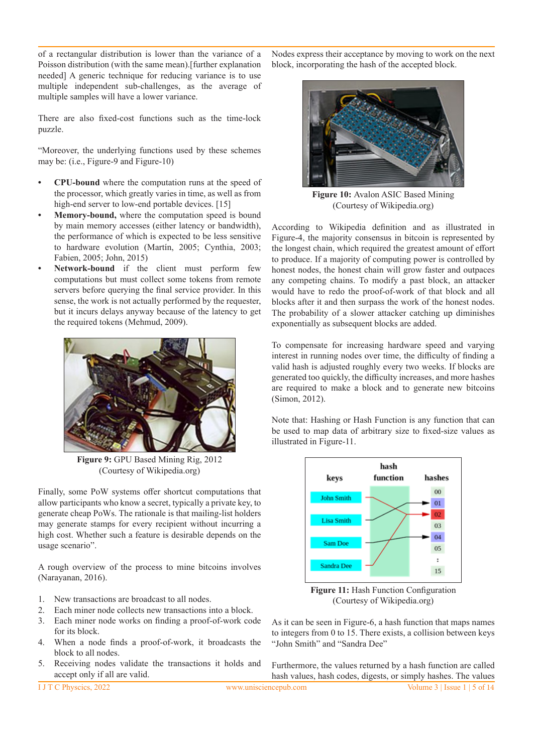of a rectangular distribution is lower than the variance of a Poisson distribution (with the same mean).[further explanation needed] A generic technique for reducing variance is to use multiple independent sub-challenges, as the average of multiple samples will have a lower variance.

There are also fixed-cost functions such as the time-lock puzzle.

"Moreover, the underlying functions used by these schemes may be: (i.e., Figure-9 and Figure-10)

- **CPU-bound** where the computation runs at the speed of the processor, which greatly varies in time, as well as from high-end server to low-end portable devices. [15]
- **Memory-bound,** where the computation speed is bound by main memory accesses (either latency or bandwidth), the performance of which is expected to be less sensitive to hardware evolution (Martín, 2005; Cynthia, 2003; Fabien, 2005; John, 2015)
- Network-bound if the client must perform few computations but must collect some tokens from remote servers before querying the final service provider. In this sense, the work is not actually performed by the requester, but it incurs delays anyway because of the latency to get the required tokens (Mehmud, 2009).



**Figure 9:** GPU Based Mining Rig, 2012 (Courtesy of Wikipedia.org)

Finally, some PoW systems offer shortcut computations that allow participants who know a secret, typically a private key, to generate cheap PoWs. The rationale is that mailing-list holders may generate stamps for every recipient without incurring a high cost. Whether such a feature is desirable depends on the usage scenario".

A rough overview of the process to mine bitcoins involves (Narayanan, 2016).

- 1. New transactions are broadcast to all nodes.
- 2. Each miner node collects new transactions into a block.
- 3. Each miner node works on finding a proof-of-work code for its block.
- 4. When a node finds a proof-of-work, it broadcasts the block to all nodes.
- 5. Receiving nodes validate the transactions it holds and accept only if all are valid.

Nodes express their acceptance by moving to work on the next block, incorporating the hash of the accepted block.



Figure 10: Avalon ASIC Based Mining (Courtesy of Wikipedia.org)

According to Wikipedia definition and as illustrated in Figure-4, the majority consensus in bitcoin is represented by the longest chain, which required the greatest amount of effort to produce. If a majority of computing power is controlled by honest nodes, the honest chain will grow faster and outpaces any competing chains. To modify a past block, an attacker would have to redo the proof-of-work of that block and all blocks after it and then surpass the work of the honest nodes. The probability of a slower attacker catching up diminishes exponentially as subsequent blocks are added.

To compensate for increasing hardware speed and varying interest in running nodes over time, the difficulty of finding a valid hash is adjusted roughly every two weeks. If blocks are generated too quickly, the difficulty increases, and more hashes are required to make a block and to generate new bitcoins (Simon, 2012).

Note that: Hashing or Hash Function is any function that can be used to map data of arbitrary size to fixed-size values as illustrated in Figure-11.



**Figure 11:** Hash Function Configuration (Courtesy of Wikipedia.org)

As it can be seen in Figure-6, a hash function that maps names to integers from 0 to 15. There exists, a collision between keys "John Smith" and "Sandra Dee"

Furthermore, the values returned by a hash function are called hash values, hash codes, digests, or simply hashes. The values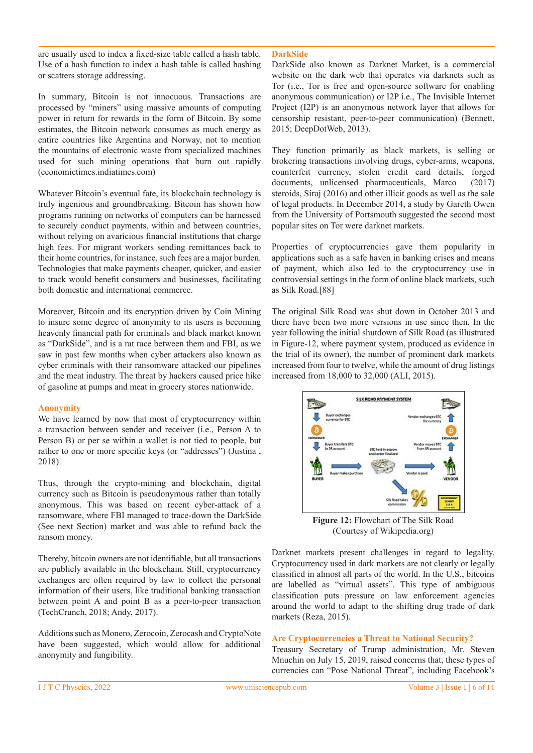are usually used to index a fixed-size table called a hash table. Use of a hash function to index a hash table is called hashing or scatters storage addressing.

In summary, Bitcoin is not innocuous. Transactions are processed by "miners" using massive amounts of computing power in return for rewards in the form of Bitcoin. By some estimates, the Bitcoin network consumes as much energy as entire countries like Argentina and Norway, not to mention the mountains of electronic waste from specialized machines used for such mining operations that burn out rapidly (economictimes.indiatimes.com)

Whatever Bitcoin's eventual fate, its blockchain technology is truly ingenious and groundbreaking. Bitcoin has shown how programs running on networks of computers can be harnessed to securely conduct payments, within and between countries, without relying on avaricious financial institutions that charge high fees. For migrant workers sending remittances back to their home countries, for instance, such fees are a major burden. Technologies that make payments cheaper, quicker, and easier to track would benefit consumers and businesses, facilitating both domestic and international commerce.

Moreover, Bitcoin and its encryption driven by Coin Mining to insure some degree of anonymity to its users is becoming heavenly financial path for criminals and black market known as "DarkSide", and is a rat race between them and FBI, as we saw in past few months when cyber attackers also known as cyber criminals with their ransomware attacked our pipelines and the meat industry. The threat by hackers caused price hike of gasoline at pumps and meat in grocery stores nationwide.

#### **Anonymity**

We have learned by now that most of cryptocurrency within a transaction between sender and receiver (i.e., Person A to Person B) or per se within a wallet is not tied to people, but rather to one or more specific keys (or "addresses") (Justina , 2018).

Thus, through the crypto-mining and blockchain, digital currency such as Bitcoin is pseudonymous rather than totally anonymous. This was based on recent cyber-attack of a ransomware, where FBI managed to trace-down the DarkSide (See next Section) market and was able to refund back the ransom money.

Thereby, bitcoin owners are not identifiable, but all transactions are publicly available in the blockchain. Still, cryptocurrency exchanges are often required by law to collect the personal information of their users, like traditional banking transaction between point A and point B as a peer-to-peer transaction (TechCrunch, 2018; Andy, 2017).

Additions such as Monero, Zerocoin, Zerocash and CryptoNote have been suggested, which would allow for additional anonymity and fungibility.

#### **DarkSide**

DarkSide also known as Darknet Market, is a commercial website on the dark web that operates via darknets such as Tor (i.e., Tor is free and open-source software for enabling anonymous communication) or I2P i.e., The Invisible Internet Project (I2P) is an anonymous network layer that allows for censorship resistant, peer-to-peer communication) (Bennett, 2015; DeepDotWeb, 2013).

They function primarily as black markets, is selling or brokering transactions involving drugs, cyber-arms, weapons, counterfeit currency, stolen credit card details, forged documents, unlicensed pharmaceuticals, Marco (2017) steroids, Siraj (2016) and other illicit goods as well as the sale of legal products. In December 2014, a study by Gareth Owen from the University of Portsmouth suggested the second most popular sites on Tor were darknet markets.

Properties of cryptocurrencies gave them popularity in applications such as a safe haven in banking crises and means of payment, which also led to the cryptocurrency use in controversial settings in the form of online black markets, such as Silk Road.[88]

The original Silk Road was shut down in October 2013 and there have been two more versions in use since then. In the year following the initial shutdown of Silk Road (as illustrated in Figure-12, where payment system, produced as evidence in the trial of its owner), the number of prominent dark markets increased from four to twelve, while the amount of drug listings increased from 18,000 to 32,000 (ALI, 2015).



**Figure 12:** Flowchart of The Silk Road (Courtesy of Wikipedia.org)

Darknet markets present challenges in regard to legality. Cryptocurrency used in dark markets are not clearly or legally classified in almost all parts of the world. In the U.S., bitcoins are labelled as "virtual assets". This type of ambiguous classification puts pressure on law enforcement agencies around the world to adapt to the shifting drug trade of dark markets (Reza, 2015).

#### **Are Cryptocurrencies a Threat to National Security?**

Treasury Secretary of Trump administration, Mr. Steven Mnuchin on July 15, 2019, raised concerns that, these types of currencies can "Pose National Threat", including Facebook's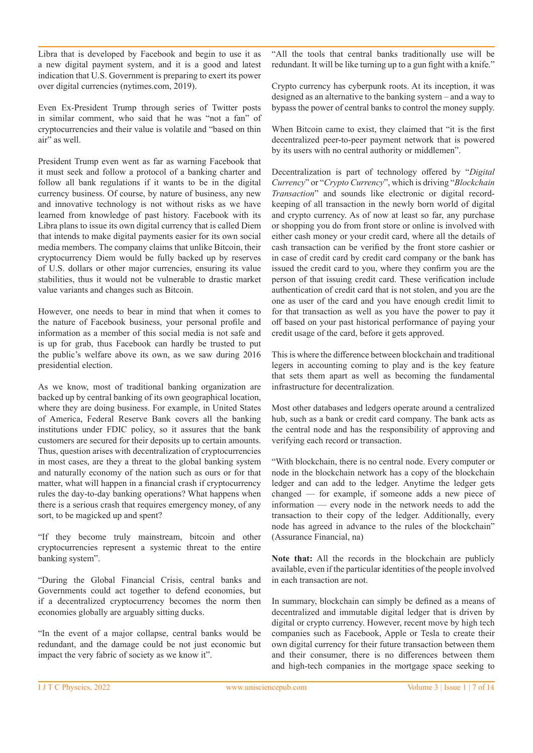Libra that is developed by Facebook and begin to use it as a new digital payment system, and it is a good and latest indication that U.S. Government is preparing to exert its power over digital currencies (nytimes.com, 2019).

Even Ex-President Trump through series of Twitter posts in similar comment, who said that he was "not a fan" of cryptocurrencies and their value is volatile and "based on thin air" as well.

President Trump even went as far as warning Facebook that it must seek and follow a protocol of a banking charter and follow all bank regulations if it wants to be in the digital currency business. Of course, by nature of business, any new and innovative technology is not without risks as we have learned from knowledge of past history. Facebook with its Libra plans to issue its own digital currency that is called Diem that intends to make digital payments easier for its own social media members. The company claims that unlike Bitcoin, their cryptocurrency Diem would be fully backed up by reserves of U.S. dollars or other major currencies, ensuring its value stabilities, thus it would not be vulnerable to drastic market value variants and changes such as Bitcoin.

However, one needs to bear in mind that when it comes to the nature of Facebook business, your personal profile and information as a member of this social media is not safe and is up for grab, thus Facebook can hardly be trusted to put the public's welfare above its own, as we saw during 2016 presidential election.

As we know, most of traditional banking organization are backed up by central banking of its own geographical location, where they are doing business. For example, in United States of America, Federal Reserve Bank covers all the banking institutions under FDIC policy, so it assures that the bank customers are secured for their deposits up to certain amounts. Thus, question arises with decentralization of cryptocurrencies in most cases, are they a threat to the global banking system and naturally economy of the nation such as ours or for that matter, what will happen in a financial crash if cryptocurrency rules the day-to-day banking operations? What happens when there is a serious crash that requires emergency money, of any sort, to be magicked up and spent?

"If they become truly mainstream, bitcoin and other cryptocurrencies represent a systemic threat to the entire banking system".

"During the Global Financial Crisis, central banks and Governments could act together to defend economies, but if a decentralized cryptocurrency becomes the norm then economies globally are arguably sitting ducks.

"In the event of a major collapse, central banks would be redundant, and the damage could be not just economic but impact the very fabric of society as we know it".

"All the tools that central banks traditionally use will be redundant. It will be like turning up to a gun fight with a knife."

Crypto currency has cyberpunk roots. At its inception, it was designed as an alternative to the banking system – and a way to bypass the power of central banks to control the money supply.

When Bitcoin came to exist, they claimed that "it is the first decentralized peer-to-peer payment network that is powered by its users with no central authority or middlemen".

Decentralization is part of technology offered by "*Digital Currency*" or "*Crypto Currency*", which is driving "*Blockchain Transaction*" and sounds like electronic or digital recordkeeping of all transaction in the newly born world of digital and crypto currency. As of now at least so far, any purchase or shopping you do from front store or online is involved with either cash money or your credit card, where all the details of cash transaction can be verified by the front store cashier or in case of credit card by credit card company or the bank has issued the credit card to you, where they confirm you are the person of that issuing credit card. These verification include authentication of credit card that is not stolen, and you are the one as user of the card and you have enough credit limit to for that transaction as well as you have the power to pay it off based on your past historical performance of paying your credit usage of the card, before it gets approved.

This is where the difference between blockchain and traditional legers in accounting coming to play and is the key feature that sets them apart as well as becoming the fundamental infrastructure for decentralization.

Most other databases and ledgers operate around a centralized hub, such as a bank or credit card company. The bank acts as the central node and has the responsibility of approving and verifying each record or transaction.

"With blockchain, there is no central node. Every computer or node in the blockchain network has a copy of the blockchain ledger and can add to the ledger. Anytime the ledger gets changed — for example, if someone adds a new piece of information — every node in the network needs to add the transaction to their copy of the ledger. Additionally, every node has agreed in advance to the rules of the blockchain" (Assurance Financial, na)

**Note that:** All the records in the blockchain are publicly available, even if the particular identities of the people involved in each transaction are not.

In summary, blockchain can simply be defined as a means of decentralized and immutable digital ledger that is driven by digital or crypto currency. However, recent move by high tech companies such as Facebook, Apple or Tesla to create their own digital currency for their future transaction between them and their consumer, there is no differences between them and high-tech companies in the mortgage space seeking to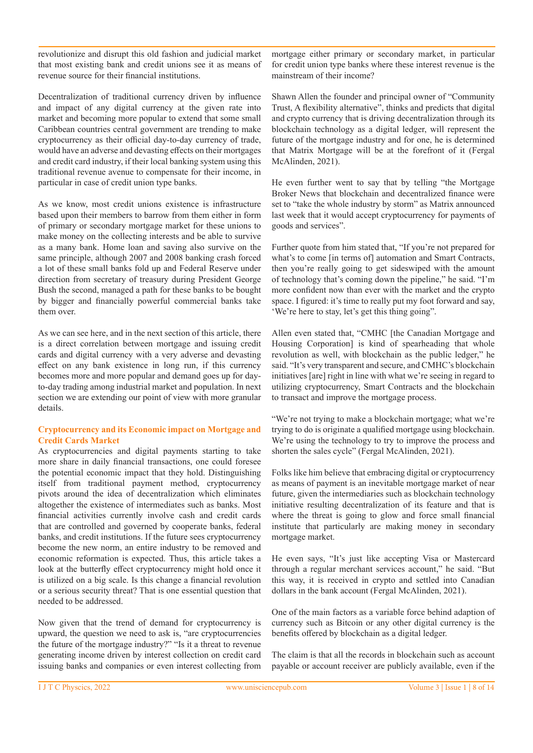revolutionize and disrupt this old fashion and judicial market that most existing bank and credit unions see it as means of revenue source for their financial institutions.

Decentralization of traditional currency driven by influence and impact of any digital currency at the given rate into market and becoming more popular to extend that some small Caribbean countries central government are trending to make cryptocurrency as their official day-to-day currency of trade, would have an adverse and devasting effects on their mortgages and credit card industry, if their local banking system using this traditional revenue avenue to compensate for their income, in particular in case of credit union type banks.

As we know, most credit unions existence is infrastructure based upon their members to barrow from them either in form of primary or secondary mortgage market for these unions to make money on the collecting interests and be able to survive as a many bank. Home loan and saving also survive on the same principle, although 2007 and 2008 banking crash forced a lot of these small banks fold up and Federal Reserve under direction from secretary of treasury during President George Bush the second, managed a path for these banks to be bought by bigger and financially powerful commercial banks take them over.

As we can see here, and in the next section of this article, there is a direct correlation between mortgage and issuing credit cards and digital currency with a very adverse and devasting effect on any bank existence in long run, if this currency becomes more and more popular and demand goes up for dayto-day trading among industrial market and population. In next section we are extending our point of view with more granular details.

#### **Cryptocurrency and its Economic impact on Mortgage and Credit Cards Market**

As cryptocurrencies and digital payments starting to take more share in daily financial transactions, one could foresee the potential economic impact that they hold. Distinguishing itself from traditional payment method, cryptocurrency pivots around the idea of decentralization which eliminates altogether the existence of intermediates such as banks. Most financial activities currently involve cash and credit cards that are controlled and governed by cooperate banks, federal banks, and credit institutions. If the future sees cryptocurrency become the new norm, an entire industry to be removed and economic reformation is expected. Thus, this article takes a look at the butterfly effect cryptocurrency might hold once it is utilized on a big scale. Is this change a financial revolution or a serious security threat? That is one essential question that needed to be addressed.

Now given that the trend of demand for cryptocurrency is upward, the question we need to ask is, "are cryptocurrencies the future of the mortgage industry?" "Is it a threat to revenue generating income driven by interest collection on credit card issuing banks and companies or even interest collecting from

mortgage either primary or secondary market, in particular for credit union type banks where these interest revenue is the mainstream of their income?

Shawn Allen the founder and principal owner of "Community Trust, A flexibility alternative", thinks and predicts that digital and crypto currency that is driving decentralization through its blockchain technology as a digital ledger, will represent the future of the mortgage industry and for one, he is determined that Matrix Mortgage will be at the forefront of it (Fergal McAlinden, 2021).

He even further went to say that by telling "the Mortgage Broker News that blockchain and decentralized finance were set to "take the whole industry by storm" as Matrix announced last week that it would accept cryptocurrency for payments of goods and services".

Further quote from him stated that, "If you're not prepared for what's to come [in terms of] automation and Smart Contracts, then you're really going to get sideswiped with the amount of technology that's coming down the pipeline," he said. "I'm more confident now than ever with the market and the crypto space. I figured: it's time to really put my foot forward and say, 'We're here to stay, let's get this thing going".

Allen even stated that, "CMHC [the Canadian Mortgage and Housing Corporation] is kind of spearheading that whole revolution as well, with blockchain as the public ledger," he said. "It's very transparent and secure, and CMHC's blockchain initiatives [are] right in line with what we're seeing in regard to utilizing cryptocurrency, Smart Contracts and the blockchain to transact and improve the mortgage process.

"We're not trying to make a blockchain mortgage; what we're trying to do is originate a qualified mortgage using blockchain. We're using the technology to try to improve the process and shorten the sales cycle" (Fergal McAlinden, 2021).

Folks like him believe that embracing digital or cryptocurrency as means of payment is an inevitable mortgage market of near future, given the intermediaries such as blockchain technology initiative resulting decentralization of its feature and that is where the threat is going to glow and force small financial institute that particularly are making money in secondary mortgage market.

He even says, "It's just like accepting Visa or Mastercard through a regular merchant services account," he said. "But this way, it is received in crypto and settled into Canadian dollars in the bank account (Fergal McAlinden, 2021).

One of the main factors as a variable force behind adaption of currency such as Bitcoin or any other digital currency is the benefits offered by blockchain as a digital ledger.

The claim is that all the records in blockchain such as account payable or account receiver are publicly available, even if the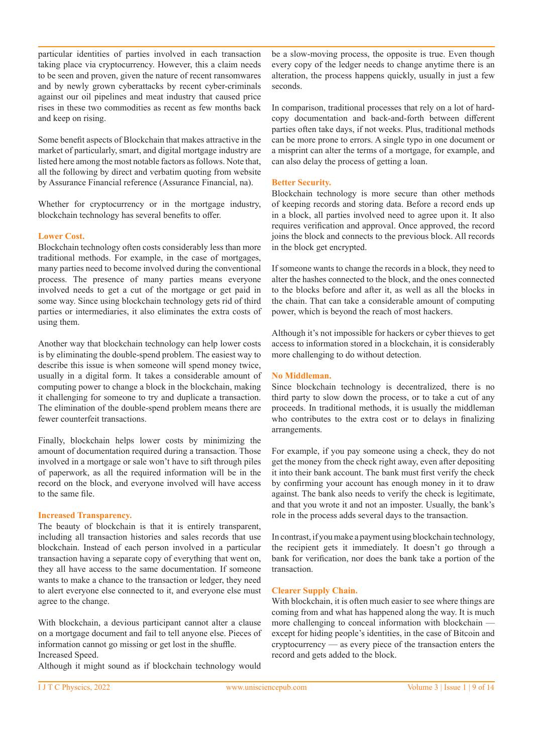particular identities of parties involved in each transaction taking place via cryptocurrency. However, this a claim needs to be seen and proven, given the nature of recent ransomwares and by newly grown cyberattacks by recent cyber-criminals against our oil pipelines and meat industry that caused price rises in these two commodities as recent as few months back and keep on rising.

Some benefit aspects of Blockchain that makes attractive in the market of particularly, smart, and digital mortgage industry are listed here among the most notable factors as follows. Note that, all the following by direct and verbatim quoting from website by Assurance Financial reference (Assurance Financial, na).

Whether for cryptocurrency or in the mortgage industry, blockchain technology has several benefits to offer.

#### **Lower Cost.**

Blockchain technology often costs considerably less than more traditional methods. For example, in the case of mortgages, many parties need to become involved during the conventional process. The presence of many parties means everyone involved needs to get a cut of the mortgage or get paid in some way. Since using blockchain technology gets rid of third parties or intermediaries, it also eliminates the extra costs of using them.

Another way that blockchain technology can help lower costs is by eliminating the double-spend problem. The easiest way to describe this issue is when someone will spend money twice, usually in a digital form. It takes a considerable amount of computing power to change a block in the blockchain, making it challenging for someone to try and duplicate a transaction. The elimination of the double-spend problem means there are fewer counterfeit transactions.

Finally, blockchain helps lower costs by minimizing the amount of documentation required during a transaction. Those involved in a mortgage or sale won't have to sift through piles of paperwork, as all the required information will be in the record on the block, and everyone involved will have access to the same file.

## **Increased Transparency.**

The beauty of blockchain is that it is entirely transparent, including all transaction histories and sales records that use blockchain. Instead of each person involved in a particular transaction having a separate copy of everything that went on, they all have access to the same documentation. If someone wants to make a chance to the transaction or ledger, they need to alert everyone else connected to it, and everyone else must agree to the change.

With blockchain, a devious participant cannot alter a clause on a mortgage document and fail to tell anyone else. Pieces of information cannot go missing or get lost in the shuffle. Increased Speed.

Although it might sound as if blockchain technology would

be a slow-moving process, the opposite is true. Even though every copy of the ledger needs to change anytime there is an alteration, the process happens quickly, usually in just a few seconds.

In comparison, traditional processes that rely on a lot of hardcopy documentation and back-and-forth between different parties often take days, if not weeks. Plus, traditional methods can be more prone to errors. A single typo in one document or a misprint can alter the terms of a mortgage, for example, and can also delay the process of getting a loan.

### **Better Security.**

Blockchain technology is more secure than other methods of keeping records and storing data. Before a record ends up in a block, all parties involved need to agree upon it. It also requires verification and approval. Once approved, the record joins the block and connects to the previous block. All records in the block get encrypted.

If someone wants to change the records in a block, they need to alter the hashes connected to the block, and the ones connected to the blocks before and after it, as well as all the blocks in the chain. That can take a considerable amount of computing power, which is beyond the reach of most hackers.

Although it's not impossible for hackers or cyber thieves to get access to information stored in a blockchain, it is considerably more challenging to do without detection.

## **No Middleman.**

Since blockchain technology is decentralized, there is no third party to slow down the process, or to take a cut of any proceeds. In traditional methods, it is usually the middleman who contributes to the extra cost or to delays in finalizing arrangements.

For example, if you pay someone using a check, they do not get the money from the check right away, even after depositing it into their bank account. The bank must first verify the check by confirming your account has enough money in it to draw against. The bank also needs to verify the check is legitimate, and that you wrote it and not an imposter. Usually, the bank's role in the process adds several days to the transaction.

In contrast, if you make a payment using blockchain technology, the recipient gets it immediately. It doesn't go through a bank for verification, nor does the bank take a portion of the transaction.

### **Clearer Supply Chain.**

With blockchain, it is often much easier to see where things are coming from and what has happened along the way. It is much more challenging to conceal information with blockchain except for hiding people's identities, in the case of Bitcoin and cryptocurrency — as every piece of the transaction enters the record and gets added to the block.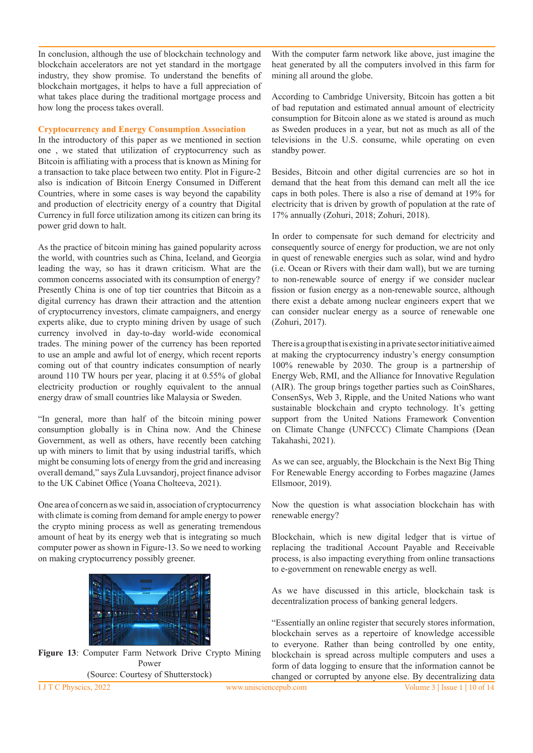In conclusion, although the use of blockchain technology and blockchain accelerators are not yet standard in the mortgage industry, they show promise. To understand the benefits of blockchain mortgages, it helps to have a full appreciation of what takes place during the traditional mortgage process and how long the process takes overall.

#### **Cryptocurrency and Energy Consumption Association**

In the introductory of this paper as we mentioned in section one , we stated that utilization of cryptocurrency such as Bitcoin is affiliating with a process that is known as Mining for a transaction to take place between two entity. Plot in Figure-2 also is indication of Bitcoin Energy Consumed in Different Countries, where in some cases is way beyond the capability and production of electricity energy of a country that Digital Currency in full force utilization among its citizen can bring its power grid down to halt.

As the practice of bitcoin mining has gained popularity across the world, with countries such as China, Iceland, and Georgia leading the way, so has it drawn criticism. What are the common concerns associated with its consumption of energy? Presently China is one of top tier countries that Bitcoin as a digital currency has drawn their attraction and the attention of cryptocurrency investors, climate campaigners, and energy experts alike, due to crypto mining driven by usage of such currency involved in day-to-day world-wide economical trades. The mining power of the currency has been reported to use an ample and awful lot of energy, which recent reports coming out of that country indicates consumption of nearly around 110 TW hours per year, placing it at 0.55% of global electricity production or roughly equivalent to the annual energy draw of small countries like Malaysia or Sweden.

"In general, more than half of the bitcoin mining power consumption globally is in China now. And the Chinese Government, as well as others, have recently been catching up with miners to limit that by using industrial tariffs, which might be consuming lots of energy from the grid and increasing overall demand," says Zula Luvsandorj, project finance advisor to the UK Cabinet Office (Yoana Cholteeva, 2021).

One area of concern as we said in, association of cryptocurrency with climate is coming from demand for ample energy to power the crypto mining process as well as generating tremendous amount of heat by its energy web that is integrating so much computer power as shown in Figure-13. So we need to working on making cryptocurrency possibly greener.



**Figure 13**: Computer Farm Network Drive Crypto Mining Power (Source: Courtesy of Shutterstock)

With the computer farm network like above, just imagine the heat generated by all the computers involved in this farm for mining all around the globe.

According to Cambridge University, Bitcoin has gotten a bit of bad reputation and estimated annual amount of electricity consumption for Bitcoin alone as we stated is around as much as Sweden produces in a year, but not as much as all of the televisions in the U.S. consume, while operating on even standby power.

Besides, Bitcoin and other digital currencies are so hot in demand that the heat from this demand can melt all the ice caps in both poles. There is also a rise of demand at 19% for electricity that is driven by growth of population at the rate of 17% annually (Zohuri, 2018; Zohuri, 2018).

In order to compensate for such demand for electricity and consequently source of energy for production, we are not only in quest of renewable energies such as solar, wind and hydro (i.e. Ocean or Rivers with their dam wall), but we are turning to non-renewable source of energy if we consider nuclear fission or fusion energy as a non-renewable source, although there exist a debate among nuclear engineers expert that we can consider nuclear energy as a source of renewable one (Zohuri, 2017).

There is a group that is existing in a private sector initiative aimed at making the cryptocurrency industry's energy consumption 100% renewable by 2030. The group is a partnership of Energy Web, RMI, and the Alliance for Innovative Regulation (AIR). The group brings together parties such as CoinShares, ConsenSys, Web 3, Ripple, and the United Nations who want sustainable blockchain and crypto technology. It's getting support from the United Nations Framework Convention on Climate Change (UNFCCC) Climate Champions (Dean Takahashi, 2021).

As we can see, arguably, the Blockchain is the Next Big Thing For Renewable Energy according to Forbes magazine (James Ellsmoor, 2019).

Now the question is what association blockchain has with renewable energy?

Blockchain, which is new digital ledger that is virtue of replacing the traditional Account Payable and Receivable process, is also impacting everything from online transactions to e-government on renewable energy as well.

As we have discussed in this article, blockchain task is decentralization process of banking general ledgers.

"Essentially an online register that securely stores information, blockchain serves as a repertoire of knowledge accessible to everyone. Rather than being controlled by one entity, blockchain is spread across multiple computers and uses a form of data logging to ensure that the information cannot be changed or corrupted by anyone else. By decentralizing data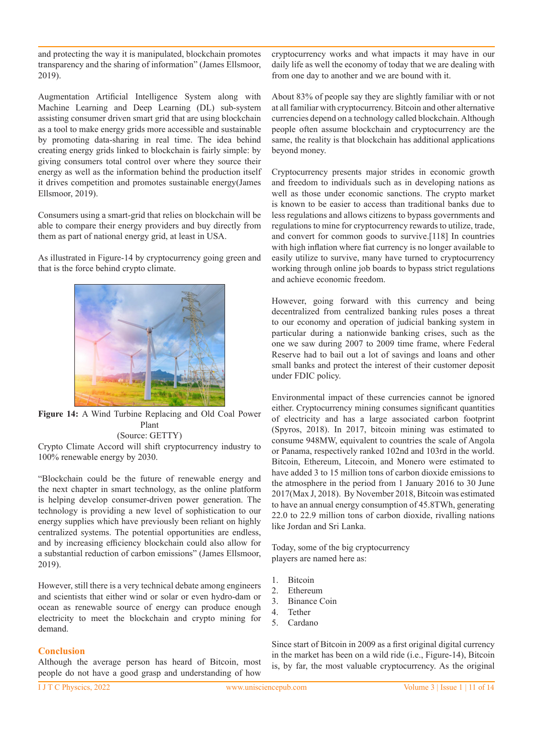and protecting the way it is manipulated, blockchain promotes transparency and the sharing of information" (James Ellsmoor, 2019).

Augmentation Artificial Intelligence System along with Machine Learning and Deep Learning (DL) sub-system assisting consumer driven smart grid that are using blockchain as a tool to make energy grids more accessible and sustainable by promoting data-sharing in real time. The idea behind creating energy grids linked to blockchain is fairly simple: by giving consumers total control over where they source their energy as well as the information behind the production itself it drives competition and promotes sustainable energy(James Ellsmoor, 2019).

Consumers using a smart-grid that relies on blockchain will be able to compare their energy providers and buy directly from them as part of national energy grid, at least in USA.

As illustrated in Figure-14 by cryptocurrency going green and that is the force behind crypto climate.



**Figure 14:** A Wind Turbine Replacing and Old Coal Power Plant (Source: GETTY)

Crypto Climate Accord will shift cryptocurrency industry to 100% renewable energy by 2030.

"Blockchain could be the future of renewable energy and the next chapter in smart technology, as the online platform is helping develop consumer-driven power generation. The technology is providing a new level of sophistication to our energy supplies which have previously been reliant on highly centralized systems. The potential opportunities are endless, and by increasing efficiency blockchain could also allow for a substantial reduction of carbon emissions" (James Ellsmoor, 2019).

However, still there is a very technical debate among engineers and scientists that either wind or solar or even hydro-dam or ocean as renewable source of energy can produce enough electricity to meet the blockchain and crypto mining for demand.

## **Conclusion**

Although the average person has heard of Bitcoin, most people do not have a good grasp and understanding of how

cryptocurrency works and what impacts it may have in our daily life as well the economy of today that we are dealing with from one day to another and we are bound with it.

About 83% of people say they are slightly familiar with or not at all familiar with cryptocurrency. Bitcoin and other alternative currencies depend on a technology called blockchain. Although people often assume blockchain and cryptocurrency are the same, the reality is that blockchain has additional applications beyond money.

Cryptocurrency presents major strides in economic growth and freedom to individuals such as in developing nations as well as those under economic sanctions. The crypto market is known to be easier to access than traditional banks due to less regulations and allows citizens to bypass governments and regulations to mine for cryptocurrency rewards to utilize, trade, and convert for common goods to survive.[118] In countries with high inflation where fiat currency is no longer available to easily utilize to survive, many have turned to cryptocurrency working through online job boards to bypass strict regulations and achieve economic freedom.

However, going forward with this currency and being decentralized from centralized banking rules poses a threat to our economy and operation of judicial banking system in particular during a nationwide banking crises, such as the one we saw during 2007 to 2009 time frame, where Federal Reserve had to bail out a lot of savings and loans and other small banks and protect the interest of their customer deposit under FDIC policy.

Environmental impact of these currencies cannot be ignored either. Cryptocurrency mining consumes significant quantities of electricity and has a large associated carbon footprint (Spyros, 2018). In 2017, bitcoin mining was estimated to consume 948MW, equivalent to countries the scale of Angola or Panama, respectively ranked 102nd and 103rd in the world. Bitcoin, Ethereum, Litecoin, and Monero were estimated to have added 3 to 15 million tons of carbon dioxide emissions to the atmosphere in the period from 1 January 2016 to 30 June 2017(Max J, 2018). By November 2018, Bitcoin was estimated to have an annual energy consumption of 45.8TWh, generating 22.0 to 22.9 million tons of carbon dioxide, rivalling nations like Jordan and Sri Lanka.

Today, some of the big cryptocurrency players are named here as:

- 1. Bitcoin
- 2. Ethereum
- 3. Binance Coin
- 4. Tether
- 5. Cardano

Since start of Bitcoin in 2009 as a first original digital currency in the market has been on a wild ride (i.e., Figure-14), Bitcoin is, by far, the most valuable cryptocurrency. As the original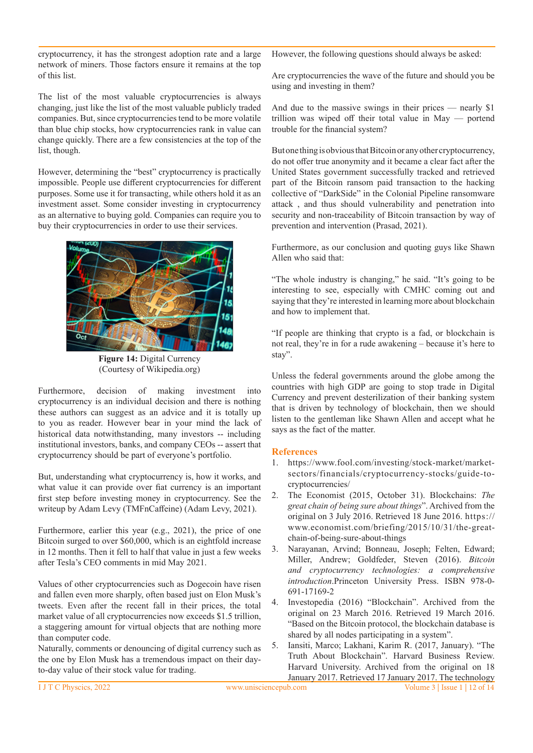cryptocurrency, it has the strongest adoption rate and a large network of miners. Those factors ensure it remains at the top of this list.

The list of the most valuable cryptocurrencies is always changing, just like the list of the most valuable publicly traded companies. But, since cryptocurrencies tend to be more volatile than blue chip stocks, how cryptocurrencies rank in value can change quickly. There are a few consistencies at the top of the list, though.

However, determining the "best" cryptocurrency is practically impossible. People use different cryptocurrencies for different purposes. Some use it for transacting, while others hold it as an investment asset. Some consider investing in cryptocurrency as an alternative to buying gold. Companies can require you to buy their cryptocurrencies in order to use their services.



**Figure 14:** Digital Currency (Courtesy of Wikipedia.org)

Furthermore, decision of making investment into cryptocurrency is an individual decision and there is nothing these authors can suggest as an advice and it is totally up to you as reader. However bear in your mind the lack of historical data notwithstanding, many investors -- including institutional investors, banks, and company CEOs -- assert that cryptocurrency should be part of everyone's portfolio.

But, understanding what cryptocurrency is, how it works, and what value it can provide over fiat currency is an important first step before investing money in cryptocurrency. See the writeup by Adam Levy (TMFnCaffeine) (Adam Levy, 2021).

Furthermore, earlier this year (e.g., 2021), the price of one Bitcoin surged to over \$60,000, which is an eightfold increase in 12 months. Then it fell to half that value in just a few weeks after Tesla's CEO comments in mid May 2021.

Values of other cryptocurrencies such as Dogecoin have risen and fallen even more sharply, often based just on Elon Musk's tweets. Even after the recent fall in their prices, the total market value of all cryptocurrencies now exceeds \$1.5 trillion, a staggering amount for virtual objects that are nothing more than computer code.

Naturally, comments or denouncing of digital currency such as the one by Elon Musk has a tremendous impact on their dayto-day value of their stock value for trading.

However, the following questions should always be asked:

Are cryptocurrencies the wave of the future and should you be using and investing in them?

And due to the massive swings in their prices — nearly \$1 trillion was wiped off their total value in May — portend trouble for the financial system?

But one thing is obvious that Bitcoin or any other cryptocurrency, do not offer true anonymity and it became a clear fact after the United States government successfully tracked and retrieved part of the Bitcoin ransom paid transaction to the hacking collective of "DarkSide" in the Colonial Pipeline ransomware attack , and thus should vulnerability and penetration into security and non-traceability of Bitcoin transaction by way of prevention and intervention (Prasad, 2021).

Furthermore, as our conclusion and quoting guys like Shawn Allen who said that:

"The whole industry is changing," he said. "It's going to be interesting to see, especially with CMHC coming out and saying that they're interested in learning more about blockchain and how to implement that.

"If people are thinking that crypto is a fad, or blockchain is not real, they're in for a rude awakening – because it's here to stay".

Unless the federal governments around the globe among the countries with high GDP are going to stop trade in Digital Currency and prevent desterilization of their banking system that is driven by technology of blockchain, then we should listen to the gentleman like Shawn Allen and accept what he says as the fact of the matter.

## **References**

- 1. https://www.fool.com/investing/stock-market/marketsectors/financials/cryptocurrency-stocks/guide-tocryptocurrencies/
- 2. The Economist (2015, October 31). Blockchains: *The great chain of being sure about things*". Archived from the original on 3 July 2016. Retrieved 18 June 2016. https:// www.economist.com/briefing/2015/10/31/the-greatchain-of-being-sure-about-things
- 3. Narayanan, Arvind; Bonneau, Joseph; Felten, Edward; Miller, Andrew; Goldfeder, Steven (2016). *Bitcoin and cryptocurrency technologies: a comprehensive introduction*.Princeton University Press. ISBN 978-0- 691-17169-2
- 4. Investopedia (2016) "Blockchain". Archived from the original on 23 March 2016. Retrieved 19 March 2016. "Based on the Bitcoin protocol, the blockchain database is shared by all nodes participating in a system".
- 5. Iansiti, Marco; Lakhani, Karim R. (2017, January). "The Truth About Blockchain". Harvard Business Review. Harvard University. Archived from the original on 18 January 2017. Retrieved 17 January 2017. The technology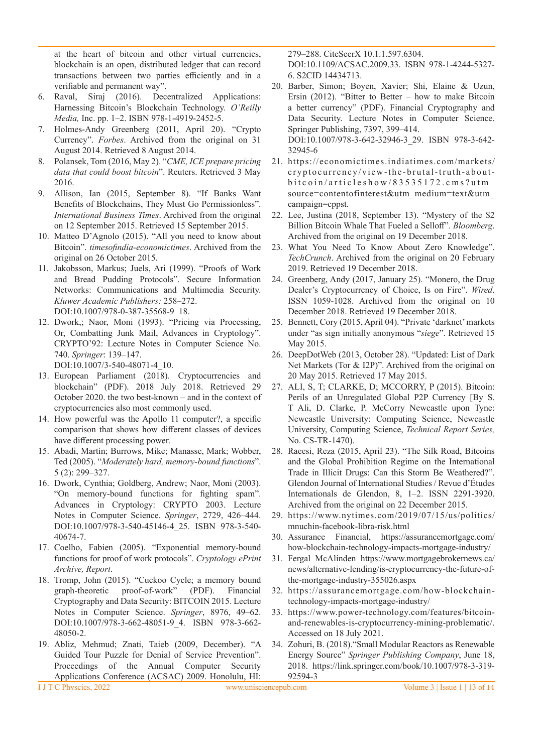at the heart of bitcoin and other virtual currencies, blockchain is an open, distributed ledger that can record transactions between two parties efficiently and in a verifiable and permanent way".

- 6. Raval, Siraj (2016). Decentralized Applications: Harnessing Bitcoin's Blockchain Technology. *O'Reilly Media,* Inc. pp. 1–2. ISBN 978-1-4919-2452-5.
- 7. Holmes-Andy Greenberg (2011, April 20). "Crypto Currency". *Forbes*. Archived from the original on 31 August 2014. Retrieved 8 August 2014.
- 8. Polansek, Tom (2016, May 2). "*CME, ICE prepare pricing data that could boost bitcoin*". Reuters. Retrieved 3 May 2016.
- 9. Allison, Ian (2015, September 8). "If Banks Want Benefits of Blockchains, They Must Go Permissionless". *International Business Times*. Archived from the original on 12 September 2015. Retrieved 15 September 2015.
- 10. Matteo D'Agnolo (2015). "All you need to know about Bitcoin". *timesofindia-economictimes*. Archived from the original on 26 October 2015.
- 11. Jakobsson, Markus; Juels, Ari (1999). "Proofs of Work and Bread Pudding Protocols". Secure Information Networks: Communications and Multimedia Security. *Kluwer Academic Publishers:* 258–272. DOI:10.1007/978-0-387-35568-9\_18.
- 12. Dwork,; Naor, Moni (1993). "Pricing via Processing, Or, Combatting Junk Mail, Advances in Cryptology". CRYPTO'92: Lecture Notes in Computer Science No. 740. *Springer*: 139–147.
	- DOI:10.1007/3-540-48071-4\_10.
- 13. European Parliament (2018). Cryptocurrencies and blockchain" (PDF). 2018 July 2018. Retrieved 29 October 2020. the two best-known – and in the context of cryptocurrencies also most commonly used.
- 14. How powerful was the Apollo 11 computer?, a specific comparison that shows how different classes of devices have different processing power.
- 15. Abadi, Martín; Burrows, Mike; Manasse, Mark; Wobber, Ted (2005). "*Moderately hard, memory-bound functions*". 5 (2): 299–327.
- 16. Dwork, Cynthia; Goldberg, Andrew; Naor, Moni (2003). "On memory-bound functions for fighting spam". Advances in Cryptology: CRYPTO 2003. Lecture Notes in Computer Science. *Springer*, 2729, 426–444. DOI:10.1007/978-3-540-45146-4\_25. ISBN 978-3-540- 40674-7.
- 17. Coelho, Fabien (2005). "Exponential memory-bound functions for proof of work protocols". *Cryptology ePrint Archive, Report*.
- 18. Tromp, John (2015). "Cuckoo Cycle; a memory bound graph-theoretic proof-of-work" (PDF). Financial Cryptography and Data Security: BITCOIN 2015. Lecture Notes in Computer Science. *Springer*, 8976, 49–62. DOI:10.1007/978-3-662-48051-9 4. ISBN 978-3-662-48050-2.
- 19. Abliz, Mehmud; Znati, Taieb (2009, December). "A Guided Tour Puzzle for Denial of Service Prevention". Proceedings of the Annual Computer Security Applications Conference (ACSAC) 2009. Honolulu, HI:

279–288. CiteSeerX 10.1.1.597.6304. DOI:10.1109/ACSAC.2009.33. ISBN 978-1-4244-5327- 6. S2CID 14434713.

20. Barber, Simon; Boyen, Xavier; Shi, Elaine & Uzun, Ersin  $(2012)$ . "Bitter to Better – how to make Bitcoin a better currency" (PDF). Financial Cryptography and Data Security. Lecture Notes in Computer Science. Springer Publishing, 7397, 399–414.

DOI:10.1007/978-3-642-32946-3\_29. ISBN 978-3-642- 32945-6

- 21. https://economictimes.indiatimes.com/markets/ cryptocurrency/view-the-brutal-truth-aboutbitcoin/articleshow/83535172.cms?utm\_ source=contentofinterest&utm\_medium=text&utm\_ campaign=cppst.
- 22. Lee, Justina (2018, September 13). "Mystery of the \$2 Billion Bitcoin Whale That Fueled a Selloff". *Bloomberg*. Archived from the original on 19 December 2018.
- 23. What You Need To Know About Zero Knowledge". *TechCrunch*. Archived from the original on 20 February 2019. Retrieved 19 December 2018.
- 24. Greenberg, Andy (2017, January 25). "Monero, the Drug Dealer's Cryptocurrency of Choice, Is on Fire". *Wired*. ISSN 1059-1028. Archived from the original on 10 December 2018. Retrieved 19 December 2018.
- 25. Bennett, Cory (2015, April 04). "Private 'darknet' markets under "as sign initially anonymous "*siege*". Retrieved 15 May 2015.
- 26. DeepDotWeb (2013, October 28). "Updated: List of Dark Net Markets (Tor & I2P)". Archived from the original on 20 May 2015. Retrieved 17 May 2015.
- 27. ALI, S, T; CLARKE, D; MCCORRY, P (2015). Bitcoin: Perils of an Unregulated Global P2P Currency [By S. T Ali, D. Clarke, P. McCorry Newcastle upon Tyne: Newcastle University: Computing Science, Newcastle University, Computing Science, *Technical Report Series,*  No. CS-TR-1470).
- 28. Raeesi, Reza (2015, April 23). "The Silk Road, Bitcoins and the Global Prohibition Regime on the International Trade in Illicit Drugs: Can this Storm Be Weathered?". Glendon Journal of International Studies / Revue d'Études Internationals de Glendon, 8, 1–2. ISSN 2291-3920. Archived from the original on 22 December 2015.
- 29. https://www.nytimes.com/2019/07/15/us/politics/ mnuchin-facebook-libra-risk.html
- 30. Assurance Financial, https://assurancemortgage.com/ how-blockchain-technology-impacts-mortgage-industry/
- 31. Fergal McAlinden https://www.mortgagebrokernews.ca/ news/alternative-lending/is-cryptocurrency-the-future-ofthe-mortgage-industry-355026.aspx
- 32. https://assurancemortgage.com/how-blockchaintechnology-impacts-mortgage-industry/
- 33. https://www.power-technology.com/features/bitcoinand-renewables-is-cryptocurrency-mining-problematic/. Accessed on 18 July 2021.
- 34. Zohuri, B. (2018)."Small Modular Reactors as Renewable Energy Source" *Springer Publishing Company*, June 18, 2018. https://link.springer.com/book/10.1007/978-3-319- 92594-3